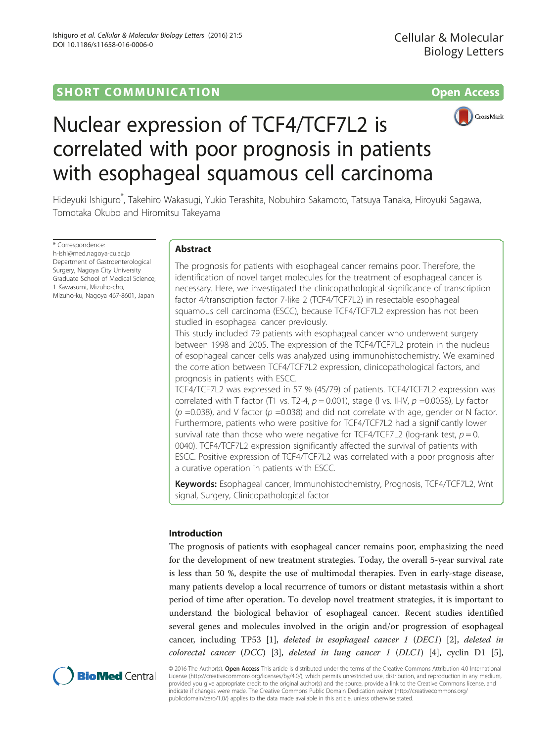

# Nuclear expression of TCF4/TCF7L2 is correlated with poor prognosis in patients with esophageal squamous cell carcinoma

Hideyuki Ishiguro\* , Takehiro Wakasugi, Yukio Terashita, Nobuhiro Sakamoto, Tatsuya Tanaka, Hiroyuki Sagawa, Tomotaka Okubo and Hiromitsu Takeyama

\* Correspondence: [h-ishi@med.nagoya-cu.ac.jp](mailto:h-ishi@med.nagoya-cu.ac.jp) Department of Gastroenterological Surgery, Nagoya City University Graduate School of Medical Science, 1 Kawasumi, Mizuho-cho, Mizuho-ku, Nagoya 467-8601, Japan

# Abstract

The prognosis for patients with esophageal cancer remains poor. Therefore, the identification of novel target molecules for the treatment of esophageal cancer is necessary. Here, we investigated the clinicopathological significance of transcription factor 4/transcription factor 7-like 2 (TCF4/TCF7L2) in resectable esophageal squamous cell carcinoma (ESCC), because TCF4/TCF7L2 expression has not been studied in esophageal cancer previously.

This study included 79 patients with esophageal cancer who underwent surgery between 1998 and 2005. The expression of the TCF4/TCF7L2 protein in the nucleus of esophageal cancer cells was analyzed using immunohistochemistry. We examined the correlation between TCF4/TCF7L2 expression, clinicopathological factors, and prognosis in patients with ESCC.

TCF4/TCF7L2 was expressed in 57 % (45/79) of patients. TCF4/TCF7L2 expression was correlated with T factor (T1 vs. T2-4,  $p = 0.001$ ), stage (I vs. II-IV,  $p = 0.0058$ ), Ly factor ( $p = 0.038$ ), and V factor ( $p = 0.038$ ) and did not correlate with age, gender or N factor. Furthermore, patients who were positive for TCF4/TCF7L2 had a significantly lower survival rate than those who were negative for TCF4/TCF7L2 (log-rank test,  $p = 0$ . 0040). TCF4/TCF7L2 expression significantly affected the survival of patients with ESCC. Positive expression of TCF4/TCF7L2 was correlated with a poor prognosis after a curative operation in patients with ESCC.

Keywords: Esophageal cancer, Immunohistochemistry, Prognosis, TCF4/TCF7L2, Wnt signal, Surgery, Clinicopathological factor

# Introduction

The prognosis of patients with esophageal cancer remains poor, emphasizing the need for the development of new treatment strategies. Today, the overall 5-year survival rate is less than 50 %, despite the use of multimodal therapies. Even in early-stage disease, many patients develop a local recurrence of tumors or distant metastasis within a short period of time after operation. To develop novel treatment strategies, it is important to understand the biological behavior of esophageal cancer. Recent studies identified several genes and molecules involved in the origin and/or progression of esophageal cancer, including TP53 [[1\]](#page-6-0), deleted in esophageal cancer 1 (DEC1) [[2\]](#page-6-0), deleted in colorectal cancer (DCC) [\[3\]](#page-6-0), deleted in lung cancer 1 (DLC1) [\[4\]](#page-6-0), cyclin D1 [\[5](#page-6-0)],



© 2016 The Author(s). Open Access This article is distributed under the terms of the Creative Commons Attribution 4.0 International License ([http://creativecommons.org/licenses/by/4.0/\)](http://creativecommons.org/licenses/by/4.0/), which permits unrestricted use, distribution, and reproduction in any medium, provided you give appropriate credit to the original author(s) and the source, provide a link to the Creative Commons license, and indicate if changes were made. The Creative Commons Public Domain Dedication waiver ([http://creativecommons.org/](http://creativecommons.org/publicdomain/zero/1.0/) [publicdomain/zero/1.0/\)](http://creativecommons.org/publicdomain/zero/1.0/) applies to the data made available in this article, unless otherwise stated.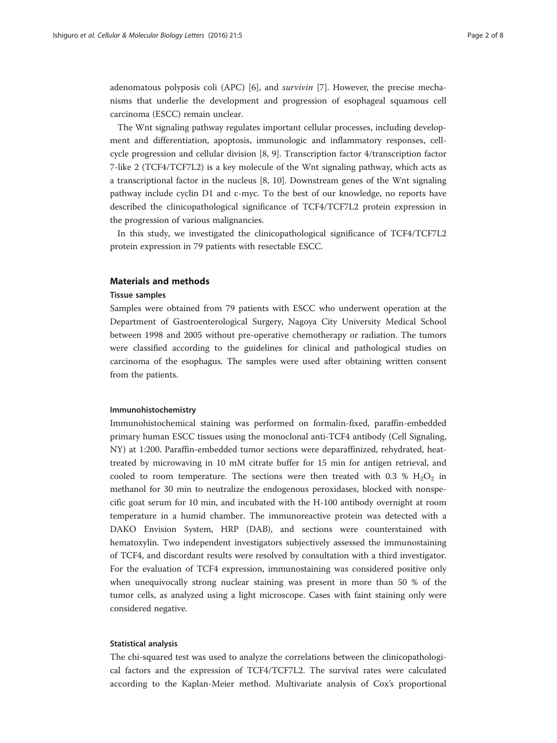adenomatous polyposis coli (APC) [[6\]](#page-6-0), and survivin [[7\]](#page-6-0). However, the precise mechanisms that underlie the development and progression of esophageal squamous cell carcinoma (ESCC) remain unclear.

The Wnt signaling pathway regulates important cellular processes, including development and differentiation, apoptosis, immunologic and inflammatory responses, cellcycle progression and cellular division [[8](#page-6-0), [9\]](#page-6-0). Transcription factor 4/transcription factor 7-like 2 (TCF4/TCF7L2) is a key molecule of the Wnt signaling pathway, which acts as a transcriptional factor in the nucleus [[8, 10](#page-6-0)]. Downstream genes of the Wnt signaling pathway include cyclin D1 and c-myc. To the best of our knowledge, no reports have described the clinicopathological significance of TCF4/TCF7L2 protein expression in the progression of various malignancies.

In this study, we investigated the clinicopathological significance of TCF4/TCF7L2 protein expression in 79 patients with resectable ESCC.

## Materials and methods

## Tissue samples

Samples were obtained from 79 patients with ESCC who underwent operation at the Department of Gastroenterological Surgery, Nagoya City University Medical School between 1998 and 2005 without pre-operative chemotherapy or radiation. The tumors were classified according to the guidelines for clinical and pathological studies on carcinoma of the esophagus. The samples were used after obtaining written consent from the patients.

## Immunohistochemistry

Immunohistochemical staining was performed on formalin-fixed, paraffin-embedded primary human ESCC tissues using the monoclonal anti-TCF4 antibody (Cell Signaling, NY) at 1:200. Paraffin-embedded tumor sections were deparaffinized, rehydrated, heattreated by microwaving in 10 mM citrate buffer for 15 min for antigen retrieval, and cooled to room temperature. The sections were then treated with 0.3 %  $H_2O_2$  in methanol for 30 min to neutralize the endogenous peroxidases, blocked with nonspecific goat serum for 10 min, and incubated with the H-100 antibody overnight at room temperature in a humid chamber. The immunoreactive protein was detected with a DAKO Envision System, HRP (DAB), and sections were counterstained with hematoxylin. Two independent investigators subjectively assessed the immunostaining of TCF4, and discordant results were resolved by consultation with a third investigator. For the evaluation of TCF4 expression, immunostaining was considered positive only when unequivocally strong nuclear staining was present in more than 50 % of the tumor cells, as analyzed using a light microscope. Cases with faint staining only were considered negative.

## Statistical analysis

The chi-squared test was used to analyze the correlations between the clinicopathological factors and the expression of TCF4/TCF7L2. The survival rates were calculated according to the Kaplan-Meier method. Multivariate analysis of Cox's proportional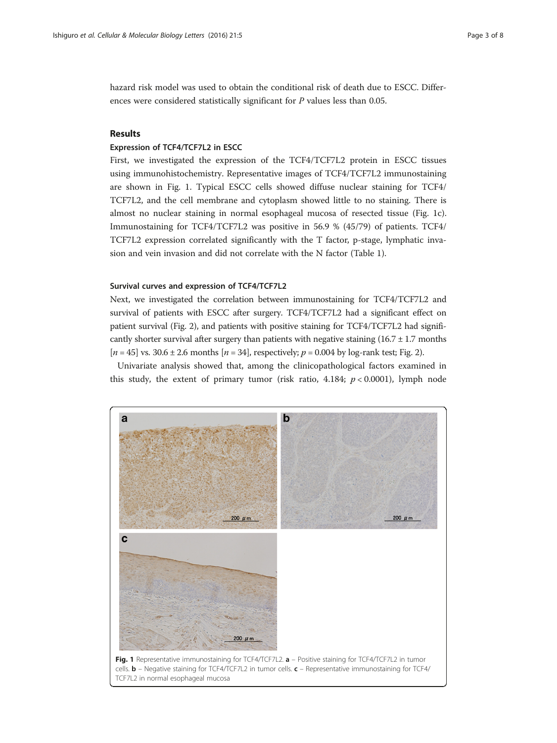<span id="page-2-0"></span>hazard risk model was used to obtain the conditional risk of death due to ESCC. Differences were considered statistically significant for P values less than 0.05.

## Results

## Expression of TCF4/TCF7L2 in ESCC

First, we investigated the expression of the TCF4/TCF7L2 protein in ESCC tissues using immunohistochemistry. Representative images of TCF4/TCF7L2 immunostaining are shown in Fig. 1. Typical ESCC cells showed diffuse nuclear staining for TCF4/ TCF7L2, and the cell membrane and cytoplasm showed little to no staining. There is almost no nuclear staining in normal esophageal mucosa of resected tissue (Fig. 1c). Immunostaining for TCF4/TCF7L2 was positive in 56.9 % (45/79) of patients. TCF4/ TCF7L2 expression correlated significantly with the T factor, p-stage, lymphatic invasion and vein invasion and did not correlate with the N factor (Table [1](#page-3-0)).

## Survival curves and expression of TCF4/TCF7L2

Next, we investigated the correlation between immunostaining for TCF4/TCF7L2 and survival of patients with ESCC after surgery. TCF4/TCF7L2 had a significant effect on patient survival (Fig. [2](#page-4-0)), and patients with positive staining for TCF4/TCF7L2 had significantly shorter survival after surgery than patients with negative staining  $(16.7 \pm 1.7 \text{ months})$  $[n = 45]$  vs. 30.6 ± 2.6 months  $[n = 34]$ , respectively;  $p = 0.004$  by log-rank test; Fig. [2\)](#page-4-0).

Univariate analysis showed that, among the clinicopathological factors examined in this study, the extent of primary tumor (risk ratio, 4.184;  $p < 0.0001$ ), lymph node

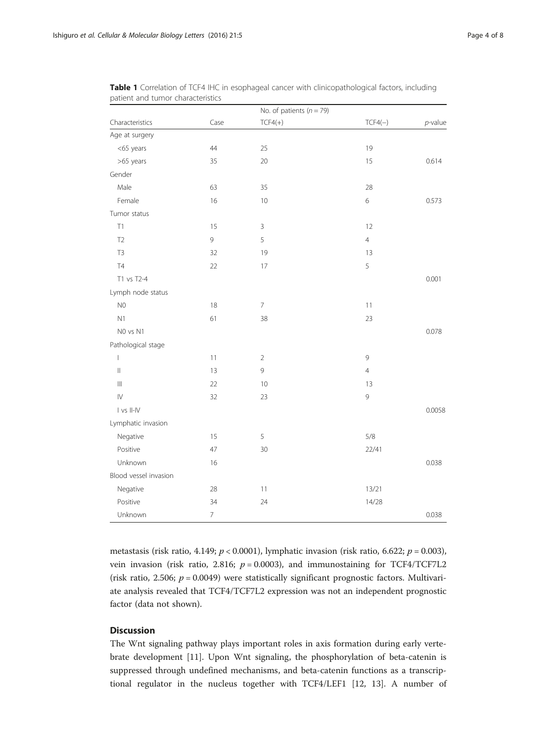|                                       |                          | No. of patients $(n = 79)$ |                |            |
|---------------------------------------|--------------------------|----------------------------|----------------|------------|
| Characteristics                       | Case                     | $TCF4(+)$                  | $TCF4(-)$      | $p$ -value |
| Age at surgery                        |                          |                            |                |            |
| <65 years                             | 44                       | 25                         | 19             |            |
| >65 years                             | 35                       | 20                         | 15             | 0.614      |
| Gender                                |                          |                            |                |            |
| Male                                  | 63                       | 35                         | 28             |            |
| Female                                | 16                       | 10                         | $\,$ 6 $\,$    | 0.573      |
| Tumor status                          |                          |                            |                |            |
| T1                                    | 15                       | 3                          | 12             |            |
| T <sub>2</sub>                        | $\mathsf 9$              | 5                          | $\overline{4}$ |            |
| T <sub>3</sub>                        | 32                       | 19                         | 13             |            |
| T <sub>4</sub>                        | 22                       | 17                         | 5              |            |
| T1 vs T2-4                            |                          |                            |                | 0.001      |
| Lymph node status                     |                          |                            |                |            |
| N <sub>0</sub>                        | 18                       | $\overline{7}$             | 11             |            |
| N1                                    | 61                       | 38                         | 23             |            |
| NO vs N1                              |                          |                            |                | 0.078      |
| Pathological stage                    |                          |                            |                |            |
| $\begin{array}{c} \hline \end{array}$ | 11                       | $\overline{2}$             | 9              |            |
| $\vert\vert$                          | 13                       | 9                          | $\overline{4}$ |            |
| $\parallel \parallel$                 | 22                       | 10                         | 13             |            |
| $\mathsf{I}\mathsf{V}$                | 32                       | 23                         | $\mathsf 9$    |            |
| I vs II-IV                            |                          |                            |                | 0.0058     |
| Lymphatic invasion                    |                          |                            |                |            |
| Negative                              | 15                       | 5                          | 5/8            |            |
| Positive                              | 47                       | 30                         | 22/41          |            |
| Unknown                               | 16                       |                            |                | 0.038      |
| Blood vessel invasion                 |                          |                            |                |            |
| Negative                              | 28                       | 11                         | 13/21          |            |
| Positive                              | 34                       | 24                         | 14/28          |            |
| Unknown                               | $\overline{\phantom{a}}$ |                            |                | 0.038      |

<span id="page-3-0"></span>Table 1 Correlation of TCF4 IHC in esophageal cancer with clinicopathological factors, including patient and tumor characteristics

metastasis (risk ratio, 4.149;  $p < 0.0001$ ), lymphatic invasion (risk ratio, 6.622;  $p = 0.003$ ), vein invasion (risk ratio, 2.816;  $p = 0.0003$ ), and immunostaining for TCF4/TCF7L2 (risk ratio, 2.506;  $p = 0.0049$ ) were statistically significant prognostic factors. Multivariate analysis revealed that TCF4/TCF7L2 expression was not an independent prognostic factor (data not shown).

# **Discussion**

The Wnt signaling pathway plays important roles in axis formation during early vertebrate development [[11\]](#page-6-0). Upon Wnt signaling, the phosphorylation of beta-catenin is suppressed through undefined mechanisms, and beta-catenin functions as a transcriptional regulator in the nucleus together with TCF4/LEF1 [[12](#page-6-0), [13](#page-6-0)]. A number of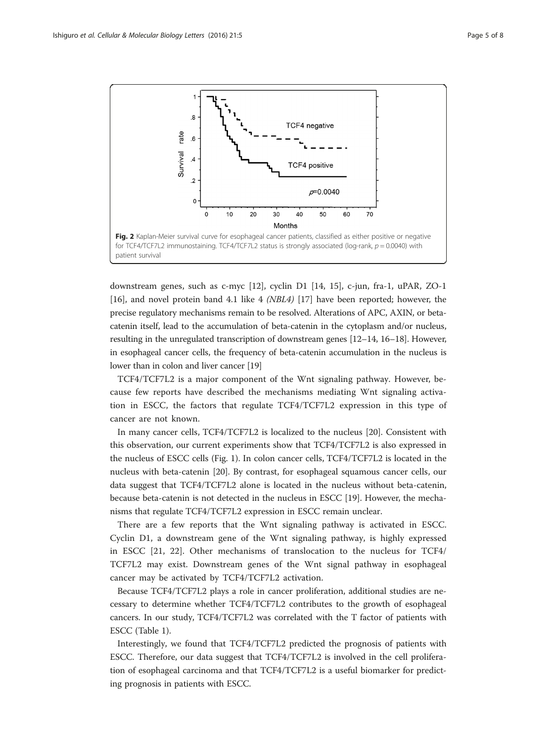<span id="page-4-0"></span>

downstream genes, such as c-myc [\[12](#page-6-0)], cyclin D1 [\[14](#page-6-0), [15](#page-6-0)], c-jun, fra-1, uPAR, ZO-1 [[16\]](#page-6-0), and novel protein band 4.1 like 4 (NBL4) [[17](#page-6-0)] have been reported; however, the precise regulatory mechanisms remain to be resolved. Alterations of APC, AXIN, or betacatenin itself, lead to the accumulation of beta-catenin in the cytoplasm and/or nucleus, resulting in the unregulated transcription of downstream genes [\[12](#page-6-0)–[14](#page-6-0), [16](#page-6-0)–[18](#page-7-0)]. However, in esophageal cancer cells, the frequency of beta-catenin accumulation in the nucleus is lower than in colon and liver cancer [\[19](#page-7-0)]

TCF4/TCF7L2 is a major component of the Wnt signaling pathway. However, because few reports have described the mechanisms mediating Wnt signaling activation in ESCC, the factors that regulate TCF4/TCF7L2 expression in this type of cancer are not known.

In many cancer cells, TCF4/TCF7L2 is localized to the nucleus [\[20](#page-7-0)]. Consistent with this observation, our current experiments show that TCF4/TCF7L2 is also expressed in the nucleus of ESCC cells (Fig. [1\)](#page-2-0). In colon cancer cells, TCF4/TCF7L2 is located in the nucleus with beta-catenin [[20\]](#page-7-0). By contrast, for esophageal squamous cancer cells, our data suggest that TCF4/TCF7L2 alone is located in the nucleus without beta-catenin, because beta-catenin is not detected in the nucleus in ESCC [\[19\]](#page-7-0). However, the mechanisms that regulate TCF4/TCF7L2 expression in ESCC remain unclear.

There are a few reports that the Wnt signaling pathway is activated in ESCC. Cyclin D1, a downstream gene of the Wnt signaling pathway, is highly expressed in ESCC [\[21](#page-7-0), [22\]](#page-7-0). Other mechanisms of translocation to the nucleus for TCF4/ TCF7L2 may exist. Downstream genes of the Wnt signal pathway in esophageal cancer may be activated by TCF4/TCF7L2 activation.

Because TCF4/TCF7L2 plays a role in cancer proliferation, additional studies are necessary to determine whether TCF4/TCF7L2 contributes to the growth of esophageal cancers. In our study, TCF4/TCF7L2 was correlated with the T factor of patients with ESCC (Table [1\)](#page-3-0).

Interestingly, we found that TCF4/TCF7L2 predicted the prognosis of patients with ESCC. Therefore, our data suggest that TCF4/TCF7L2 is involved in the cell proliferation of esophageal carcinoma and that TCF4/TCF7L2 is a useful biomarker for predicting prognosis in patients with ESCC.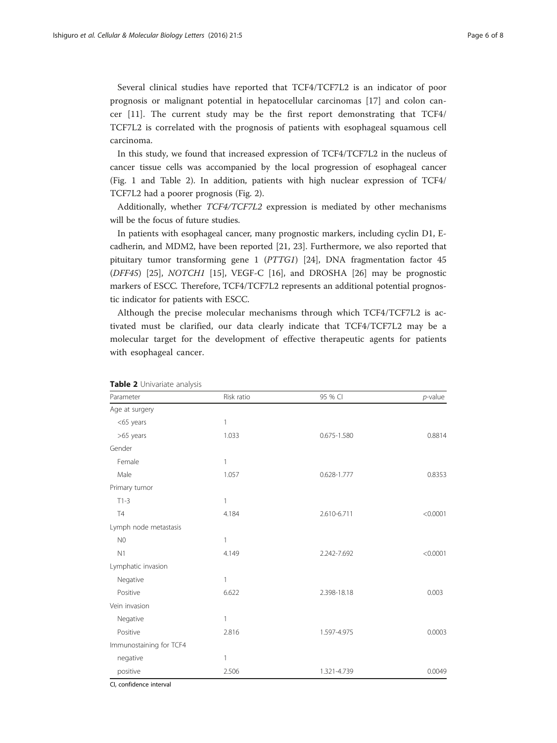Several clinical studies have reported that TCF4/TCF7L2 is an indicator of poor prognosis or malignant potential in hepatocellular carcinomas [\[17](#page-6-0)] and colon cancer [[11\]](#page-6-0). The current study may be the first report demonstrating that TCF4/ TCF7L2 is correlated with the prognosis of patients with esophageal squamous cell carcinoma.

In this study, we found that increased expression of TCF4/TCF7L2 in the nucleus of cancer tissue cells was accompanied by the local progression of esophageal cancer (Fig. [1](#page-2-0) and Table 2). In addition, patients with high nuclear expression of TCF4/ TCF7L2 had a poorer prognosis (Fig. [2](#page-4-0)).

Additionally, whether TCF4/TCF7L2 expression is mediated by other mechanisms will be the focus of future studies.

In patients with esophageal cancer, many prognostic markers, including cyclin D1, Ecadherin, and MDM2, have been reported [\[21](#page-7-0), [23](#page-7-0)]. Furthermore, we also reported that pituitary tumor transforming gene 1 (PTTG1) [[24](#page-7-0)], DNA fragmentation factor 45 (DFF45) [[25](#page-7-0)], NOTCH1 [\[15](#page-6-0)], VEGF-C [\[16](#page-6-0)], and DROSHA [[26](#page-7-0)] may be prognostic markers of ESCC. Therefore, TCF4/TCF7L2 represents an additional potential prognostic indicator for patients with ESCC.

Although the precise molecular mechanisms through which TCF4/TCF7L2 is activated must be clarified, our data clearly indicate that TCF4/TCF7L2 may be a molecular target for the development of effective therapeutic agents for patients with esophageal cancer.

| Parameter               | Risk ratio   | 95 % CI     | $p$ -value |
|-------------------------|--------------|-------------|------------|
| Age at surgery          |              |             |            |
| <65 years               | 1            |             |            |
| >65 years               | 1.033        | 0.675-1.580 | 0.8814     |
| Gender                  |              |             |            |
| Female                  | $\mathbf{1}$ |             |            |
| Male                    | 1.057        | 0.628-1.777 | 0.8353     |
| Primary tumor           |              |             |            |
| $T1-3$                  | 1            |             |            |
| <b>T4</b>               | 4.184        | 2.610-6.711 | < 0.0001   |
| Lymph node metastasis   |              |             |            |
| N <sub>0</sub>          | 1            |             |            |
| N1                      | 4.149        | 2.242-7.692 | < 0.0001   |
| Lymphatic invasion      |              |             |            |
| Negative                | 1            |             |            |
| Positive                | 6.622        | 2.398-18.18 | 0.003      |
| Vein invasion           |              |             |            |
| Negative                | 1            |             |            |
| Positive                | 2.816        | 1.597-4.975 | 0.0003     |
| Immunostaining for TCF4 |              |             |            |
| negative                | 1            |             |            |
| positive                | 2.506        | 1.321-4.739 | 0.0049     |

Table 2 Univariate analysis

CI, confidence interval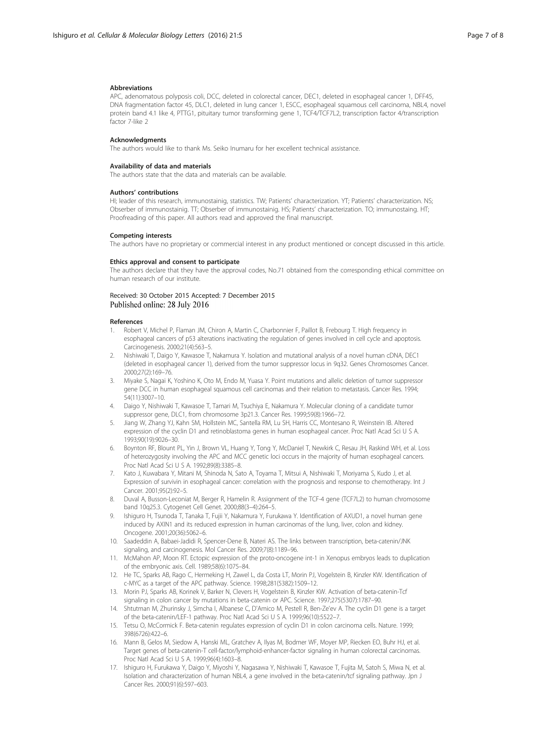#### <span id="page-6-0"></span>Abbreviations

APC, adenomatous polyposis coli, DCC, deleted in colorectal cancer, DEC1, deleted in esophageal cancer 1, DFF45, DNA fragmentation factor 45, DLC1, deleted in lung cancer 1, ESCC, esophageal squamous cell carcinoma, NBL4, novel protein band 4.1 like 4, PTTG1, pituitary tumor transforming gene 1, TCF4/TCF7L2, transcription factor 4/transcription factor 7-like 2

#### **Acknowledgments**

The authors would like to thank Ms. Seiko Inumaru for her excellent technical assistance.

#### Availability of data and materials

The authors state that the data and materials can be available.

## Authors' contributions

HI; leader of this research, immunostainig, statistics. TW; Patients' characterization. YT; Patients' characterization. NS; Obserber of immunostainig. TT; Obserber of immunostainig. HS; Patients' characterization. TO; immunostaing. HT; Proofreading of this paper. All authors read and approved the final manuscript.

## Competing interests

The authors have no proprietary or commercial interest in any product mentioned or concept discussed in this article.

#### Ethics approval and consent to participate

The authors declare that they have the approval codes, No.71 obtained from the corresponding ethical committee on human research of our institute.

## Received: 30 October 2015 Accepted: 7 December 2015 Published online: 28 July 2016

#### References

- 1. Robert V, Michel P, Flaman JM, Chiron A, Martin C, Charbonnier F, Paillot B, Frebourg T. High frequency in esophageal cancers of p53 alterations inactivating the regulation of genes involved in cell cycle and apoptosis. Carcinogenesis. 2000;21(4):563–5.
- 2. Nishiwaki T, Daigo Y, Kawasoe T, Nakamura Y. Isolation and mutational analysis of a novel human cDNA, DEC1 (deleted in esophageal cancer 1), derived from the tumor suppressor locus in 9q32. Genes Chromosomes Cancer. 2000;27(2):169–76.
- 3. Miyake S, Nagai K, Yoshino K, Oto M, Endo M, Yuasa Y. Point mutations and allelic deletion of tumor suppressor gene DCC in human esophageal squamous cell carcinomas and their relation to metastasis. Cancer Res. 1994; 54(11):3007–10.
- 4. Daigo Y, Nishiwaki T, Kawasoe T, Tamari M, Tsuchiya E, Nakamura Y. Molecular cloning of a candidate tumor suppressor gene, DLC1, from chromosome 3p21.3. Cancer Res. 1999;59(8):1966–72.
- 5. Jiang W, Zhang YJ, Kahn SM, Hollstein MC, Santella RM, Lu SH, Harris CC, Montesano R, Weinstein IB. Altered expression of the cyclin D1 and retinoblastoma genes in human esophageal cancer. Proc Natl Acad Sci U S A. 1993;90(19):9026–30.
- 6. Boynton RF, Blount PL, Yin J, Brown VL, Huang Y, Tong Y, McDaniel T, Newkirk C, Resau JH, Raskind WH, et al. Loss of heterozygosity involving the APC and MCC genetic loci occurs in the majority of human esophageal cancers. Proc Natl Acad Sci U S A. 1992;89(8):3385–8.
- 7. Kato J, Kuwabara Y, Mitani M, Shinoda N, Sato A, Toyama T, Mitsui A, Nishiwaki T, Moriyama S, Kudo J, et al. Expression of survivin in esophageal cancer: correlation with the prognosis and response to chemotherapy. Int J Cancer. 2001;95(2):92–5.
- 8. Duval A, Busson-Leconiat M, Berger R, Hamelin R. Assignment of the TCF-4 gene (TCF7L2) to human chromosome band 10q25.3. Cytogenet Cell Genet. 2000;88(3–4):264–5.
- 9. Ishiguro H, Tsunoda T, Tanaka T, Fujii Y, Nakamura Y, Furukawa Y. Identification of AXUD1, a novel human gene induced by AXIN1 and its reduced expression in human carcinomas of the lung, liver, colon and kidney. Oncogene. 2001;20(36):5062–6.
- 10. Saadeddin A, Babaei-Jadidi R, Spencer-Dene B, Nateri AS. The links between transcription, beta-catenin/JNK signaling, and carcinogenesis. Mol Cancer Res. 2009;7(8):1189–96.
- 11. McMahon AP, Moon RT. Ectopic expression of the proto-oncogene int-1 in Xenopus embryos leads to duplication of the embryonic axis. Cell. 1989;58(6):1075–84.
- 12. He TC, Sparks AB, Rago C, Hermeking H, Zawel L, da Costa LT, Morin PJ, Vogelstein B, Kinzler KW. Identification of c-MYC as a target of the APC pathway. Science. 1998;281(5382):1509–12.
- 13. Morin PJ, Sparks AB, Korinek V, Barker N, Clevers H, Vogelstein B, Kinzler KW. Activation of beta-catenin-Tcf signaling in colon cancer by mutations in beta-catenin or APC. Science. 1997;275(5307):1787–90.
- 14. Shtutman M, Zhurinsky J, Simcha I, Albanese C, D'Amico M, Pestell R, Ben-Ze'ev A. The cyclin D1 gene is a target of the beta-catenin/LEF-1 pathway. Proc Natl Acad Sci U S A. 1999;96(10):5522–7.
- 15. Tetsu O, McCormick F. Beta-catenin regulates expression of cyclin D1 in colon carcinoma cells. Nature. 1999; 398(6726):422–6.
- 16. Mann B, Gelos M, Siedow A, Hanski ML, Gratchev A, Ilyas M, Bodmer WF, Moyer MP, Riecken EO, Buhr HJ, et al. Target genes of beta-catenin-T cell-factor/lymphoid-enhancer-factor signaling in human colorectal carcinomas. Proc Natl Acad Sci U S A. 1999;96(4):1603–8.
- 17. Ishiguro H, Furukawa Y, Daigo Y, Miyoshi Y, Nagasawa Y, Nishiwaki T, Kawasoe T, Fujita M, Satoh S, Miwa N, et al. Isolation and characterization of human NBL4, a gene involved in the beta-catenin/tcf signaling pathway. Jpn J Cancer Res. 2000;91(6):597–603.